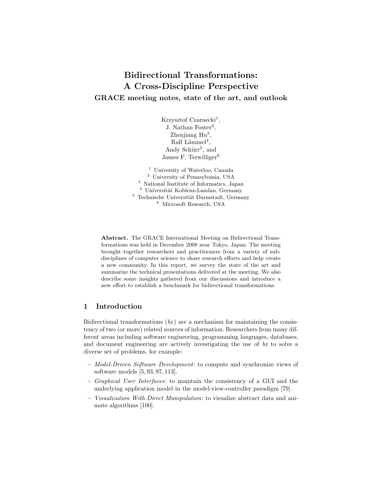# Bidirectional Transformations: A Cross-Discipline Perspective GRACE meeting notes, state of the art, and outlook

Krzysztof Czarnecki<sup>1</sup>, J. Nathan Foster<sup>2</sup>, Zhenjiang  $Hu^3$ ,  $\mathrm{Ralf}\; \mathrm{Lämmel}^4,$ Andy Schürr<sup>5</sup>, and James F. Terwilliger<sup>6</sup>

 University of Waterloo, Canada University of Pennsylvania, USA National Institute of Informatics, Japan <sup>4</sup> Universität Koblenz-Landau, Germany Technische Universität Darmstadt, Germany Microsoft Research, USA

Abstract. The GRACE International Meeting on Bidirectional Transformations was held in December 2008 near Tokyo, Japan. The meeting brought together researchers and practitioners from a variety of subdisciplines of computer science to share research efforts and help create a new community. In this report, we survey the state of the art and summarize the technical presentations delivered at the meeting. We also describe some insights gathered from our discussions and introduce a new effort to establish a benchmark for bidirectional transformations.

# 1 Introduction

Bidirectional transformations  $(bx)$  are a mechanism for maintaining the consistency of two (or more) related sources of information. Researchers from many different areas including software engineering, programming languages, databases, and document engineering are actively investigating the use of  $bx$  to solve a diverse set of problems, for example:

- Model-Driven Software Development: to compute and synchronize views of software models [5, 93, 97, 113].
- Graphical User Interfaces: to maintain the consistency of a GUI and the underlying application model in the model-view-controller paradigm [79].
- Visualization With Direct Manipulation: to visualize abstract data and animate algorithms [100].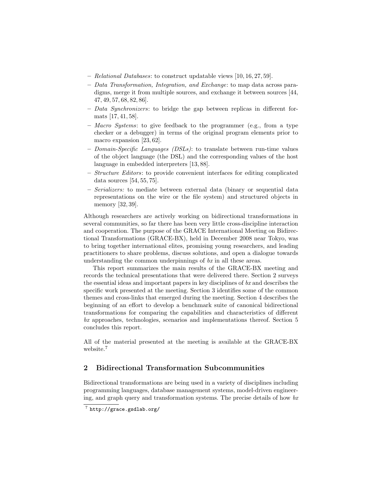- Relational Databases: to construct updatable views [10, 16, 27, 59].
- $Data Transformation, Integration, and Exchange: to map data across para$ digms, merge it from multiple sources, and exchange it between sources [44, 47, 49, 57, 68, 82, 86].
- $Data Sprchnonizers:$  to bridge the gap between replicas in different formats [17, 41, 58].
- Macro Systems: to give feedback to the programmer (e.g., from a type checker or a debugger) in terms of the original program elements prior to macro expansion [23, 62].
- $-$  Domain-Specific Languages (DSLs): to translate between run-time values of the object language (the DSL) and the corresponding values of the host language in embedded interpreters [13, 88].
- Structure Editors: to provide convenient interfaces for editing complicated data sources [54, 55, 75].
- Serializers: to mediate between external data (binary or sequential data representations on the wire or the file system) and structured objects in memory [32, 39].

Although researchers are actively working on bidirectional transformations in several communities, so far there has been very little cross-discipline interaction and cooperation. The purpose of the GRACE International Meeting on Bidirectional Transformations (GRACE-BX), held in December 2008 near Tokyo, was to bring together international elites, promising young researchers, and leading practitioners to share problems, discuss solutions, and open a dialogue towards understanding the common underpinnings of  $bx$  in all these areas.

This report summarizes the main results of the GRACE-BX meeting and records the technical presentations that were delivered there. Section 2 surveys the essential ideas and important papers in key disciplines of  $bx$  and describes the specific work presented at the meeting. Section 3 identifies some of the common themes and cross-links that emerged during the meeting. Section 4 describes the beginning of an effort to develop a benchmark suite of canonical bidirectional transformations for comparing the capabilities and characteristics of different bx approaches, technologies, scenarios and implementations thereof. Section 5 concludes this report.

All of the material presented at the meeting is available at the GRACE-BX website.<sup>7</sup>

# 2 Bidirectional Transformation Subcommunities

Bidirectional transformations are being used in a variety of disciplines including programming languages, database management systems, model-driven engineering, and graph query and transformation systems. The precise details of how  $bx$ 

 $^7$  http://grace.gsdlab.org/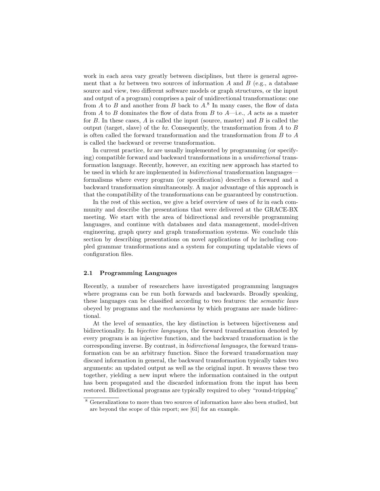work in each area vary greatly between disciplines, but there is general agreement that a bx between two sources of information A and B (e.g., a database source and view, two different software models or graph structures, or the input and output of a program) comprises a pair of unidirectional transformations: one from  $A$  to  $B$  and another from  $B$  back to  $A$ <sup>8</sup>. In many cases, the flow of data from A to B dominates the flow of data from B to  $A$ —i.e., A acts as a master for  $B$ . In these cases,  $A$  is called the input (source, master) and  $B$  is called the output (target, slave) of the bx. Consequently, the transformation from A to B is often called the forward transformation and the transformation from B to A is called the backward or reverse transformation.

In current practice, bx are usually implemented by programming (or specifying) compatible forward and backward transformations in a unidirectional transformation language. Recently, however, an exciting new approach has started to be used in which bx are implemented in bidirectional transformation languages formalisms where every program (or specification) describes a forward and a backward transformation simultaneously. A major advantage of this approach is that the compatibility of the transformations can be guaranteed by construction.

In the rest of this section, we give a brief overview of uses of  $bx$  in each community and describe the presentations that were delivered at the GRACE-BX meeting. We start with the area of bidirectional and reversible programming languages, and continue with databases and data management, model-driven engineering, graph query and graph transformation systems. We conclude this section by describing presentations on novel applications of  $bx$  including coupled grammar transformations and a system for computing updatable views of configuration files.

### 2.1 Programming Languages

Recently, a number of researchers have investigated programming languages where programs can be run both forwards and backwards. Broadly speaking, these languages can be classified according to two features: the semantic laws obeyed by programs and the mechanisms by which programs are made bidirectional.

At the level of semantics, the key distinction is between bijectiveness and bidirectionality. In bijective languages, the forward transformation denoted by every program is an injective function, and the backward transformation is the corresponding inverse. By contrast, in bidirectional languages, the forward transformation can be an arbitrary function. Since the forward transformation may discard information in general, the backward transformation typically takes two arguments: an updated output as well as the original input. It weaves these two together, yielding a new input where the information contained in the output has been propagated and the discarded information from the input has been restored. Bidirectional programs are typically required to obey "round-tripping"

<sup>8</sup> Generalizations to more than two sources of information have also been studied, but are beyond the scope of this report; see [61] for an example.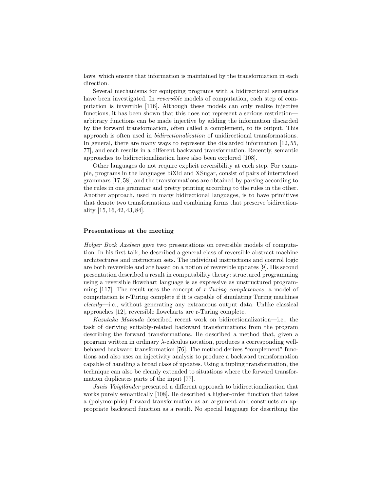laws, which ensure that information is maintained by the transformation in each direction.

Several mechanisms for equipping programs with a bidirectional semantics have been investigated. In reversible models of computation, each step of computation is invertible [116]. Although these models can only realize injective functions, it has been shown that this does not represent a serious restriction arbitrary functions can be made injective by adding the information discarded by the forward transformation, often called a complement, to its output. This approach is often used in bidirectionalization of unidirectional transformations. In general, there are many ways to represent the discarded information [12, 55, 77], and each results in a different backward transformation. Recently, semantic approaches to bidirectionalization have also been explored [108].

Other languages do not require explicit reversibility at each step. For example, programs in the languages biXid and XSugar, consist of pairs of intertwined grammars [17, 58], and the transformations are obtained by parsing according to the rules in one grammar and pretty printing according to the rules in the other. Another approach, used in many bidirectional languages, is to have primitives that denote two transformations and combining forms that preserve bidirectionality [15, 16, 42, 43, 84].

#### Presentations at the meeting

Holger Bock Axelsen gave two presentations on reversible models of computation. In his first talk, he described a general class of reversible abstract machine architectures and instruction sets. The individual instructions and control logic are both reversible and are based on a notion of reversible updates [9]. His second presentation described a result in computability theory: structured programming using a reversible flowchart language is as expressive as unstructured programming  $[117]$ . The result uses the concept of r-Turing completeness: a model of computation is r-Turing complete if it is capable of simulating Turing machines cleanly—i.e., without generating any extraneous output data. Unlike classical approaches [12], reversible flowcharts are r-Turing complete.

Kazutaka Matsuda described recent work on bidirectionalization—i.e., the task of deriving suitably-related backward transformations from the program describing the forward transformations. He described a method that, given a program written in ordinary  $\lambda$ -calculus notation, produces a corresponding wellbehaved backward transformation [76]. The method derives "complement" functions and also uses an injectivity analysis to produce a backward transformation capable of handling a broad class of updates. Using a tupling transformation, the technique can also be cleanly extended to situations where the forward transformation duplicates parts of the input [77].

Janis Voigtländer presented a different approach to bidirectionalization that works purely semantically [108]. He described a higher-order function that takes a (polymorphic) forward transformation as an argument and constructs an appropriate backward function as a result. No special language for describing the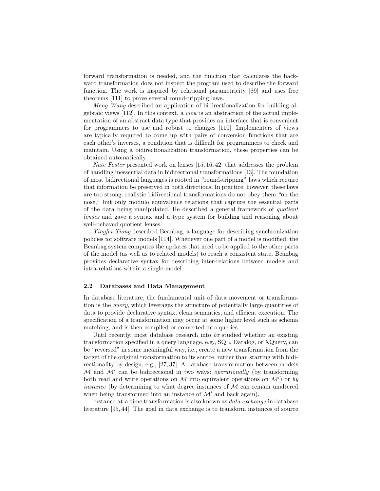forward transformation is needed, and the function that calculates the backward transformation does not inspect the program used to describe the forward function. The work is inspired by relational parametricity [89] and uses free theorems [111] to prove several round-tripping laws.

Meng Wang described an application of bidirectionalization for building algebraic views [112]. In this context, a view is an abstraction of the actual implementation of an abstract data type that provides an interface that is convenient for programmers to use and robust to changes [110]. Implementers of views are typically required to come up with pairs of conversion functions that are each other's inverses, a condition that is difficult for programmers to check and maintain. Using a bidirectionalization transformation, these properties can be obtained automatically.

Nate Foster presented work on lenses [15, 16, 42] that addresses the problem of handling inessential data in bidirectional transformations [43]. The foundation of most bidirectional languages is rooted in "round-tripping" laws which require that information be preserved in both directions. In practice, however, these laws are too strong: realistic bidirectional transformations do not obey them "on the nose," but only modulo equivalence relations that capture the essential parts of the data being manipulated. He described a general framework of quotient lenses and gave a syntax and a type system for building and reasoning about well-behaved quotient lenses.

Yingfei Xiong described Beanbag, a language for describing synchronization policies for software models [114]. Whenever one part of a model is modified, the Beanbag system computes the updates that need to be applied to the other parts of the model (as well as to related models) to reach a consistent state. Beanbag provides declarative syntax for describing inter-relations between models and intra-relations within a single model.

#### 2.2 Databases and Data Management

In database literature, the fundamental unit of data movement or transformation is the query, which leverages the structure of potentially large quantities of data to provide declarative syntax, clean semantics, and efficient execution. The specification of a transformation may occur at some higher level such as schema matching, and is then compiled or converted into queries.

Until recently, most database research into  $bx$  studied whether an existing transformation specified in a query language, e.g., SQL, Datalog, or XQuery, can be "reversed" in some meaningful way, i.e., create a new transformation from the target of the original transformation to its source, rather than starting with bidirectionality by design, e.g., [27, 37]. A database transformation between models  $M$  and  $M'$  can be bidirectional in two ways: *operationally* (by transforming both read and write operations on  $\mathcal M$  into equivalent operations on  $\mathcal M'$ ) or by *instance* (by determining to what degree instances of  $M$  can remain unaltered when being transformed into an instance of  $\mathcal{M}'$  and back again).

Instance-at-a-time transformation is also known as data exchange in database literature [95, 44]. The goal in data exchange is to transform instances of source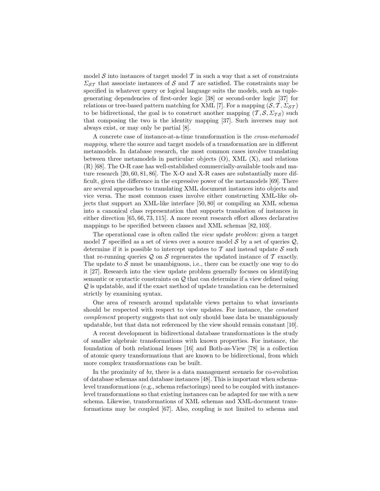model S into instances of target model  $\mathcal T$  in such a way that a set of constraints  $\Sigma_{ST}$  that associate instances of S and T are satisfied. The constraints may be specified in whatever query or logical language suits the models, such as tuplegenerating dependencies of first-order logic [38] or second-order logic [37] for relations or tree-based pattern matching for XML [7]. For a mapping  $(S, \mathcal{T}, \Sigma_{ST})$ to be bidirectional, the goal is to construct another mapping  $(\mathcal{T}, \mathcal{S}, \Sigma_{\mathcal{T}\mathcal{S}})$  such that composing the two is the identity mapping [37]. Such inverses may not always exist, or may only be partial [8].

A concrete case of instance-at-a-time transformation is the cross-metamodel mapping, where the source and target models of a transformation are in different metamodels. In database research, the most common cases involve translating between three metamodels in particular: objects  $(O)$ , XML  $(X)$ , and relations (R) [68]. The O-R case has well-established commercially-available tools and mature research [20, 60, 81, 86]. The X-O and X-R cases are substantially more difficult, given the difference in the expressive power of the metamodels [69]. There are several approaches to translating XML document instances into objects and vice versa. The most common cases involve either constructing XML-like objects that support an XML-like interface [50, 80] or compiling an XML schema into a canonical class representation that supports translation of instances in either direction [65, 66, 73, 115]. A more recent research effort allows declarative mappings to be specified between classes and XML schemas [82, 103].

The operational case is often called the view update problem: given a target model T specified as a set of views over a source model S by a set of queries  $\mathcal{Q}$ , determine if it is possible to intercept updates to  $\mathcal T$  and instead update  $\mathcal S$  such that re-running queries  $\mathcal Q$  on  $\mathcal S$  regenerates the updated instance of  $\mathcal T$  exactly. The update to  $S$  must be unambiguous, i.e., there can be exactly one way to do it [27]. Research into the view update problem generally focuses on identifying semantic or syntactic constraints on  $Q$  that can determine if a view defined using Q is updatable, and if the exact method of update translation can be determined strictly by examining syntax.

One area of research around updatable views pertains to what invariants should be respected with respect to view updates. For instance, the constant complement property suggests that not only should base data be unambiguously updatable, but that data not referenced by the view should remain constant [10].

A recent development in bidirectional database transformations is the study of smaller algebraic transformations with known properties. For instance, the foundation of both relational lenses [16] and Both-as-View [78] is a collection of atomic query transformations that are known to be bidirectional, from which more complex transformations can be built.

In the proximity of bx, there is a data management scenario for co-evolution of database schemas and database instances [48]. This is important when schemalevel transformations (e.g., schema refactorings) need to be coupled with instancelevel transformations so that existing instances can be adapted for use with a new schema. Likewise, transformations of XML schemas and XML-document transformations may be coupled [67]. Also, coupling is not limited to schema and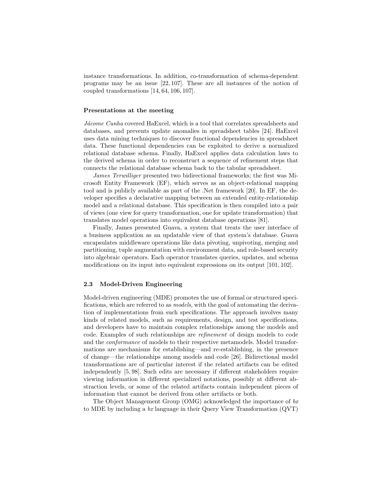instance transformations. In addition, co-transformation of schema-dependent programs may be an issue [22, 107]. These are all instances of the notion of coupled transformations [14, 64, 106, 107].

#### Presentations at the meeting

Jácome Cunha covered HaExcel, which is a tool that correlates spreadsheets and databases, and prevents update anomalies in spreadsheet tables [24]. HaExcel uses data mining techniques to discover functional dependencies in spreadsheet data. These functional dependencies can be exploited to derive a normalized relational database schema. Finally, HaExcel applies data calculation laws to the derived schema in order to reconstruct a sequence of refinement steps that connects the relational database schema back to the tabular spreadsheet.

James Terwilliger presented two bidirectional frameworks; the first was Microsoft Entity Framework (EF), which serves as an object-relational mapping tool and is publicly available as part of the .Net framework [20]. In EF, the developer specifies a declarative mapping between an extended entity-relationship model and a relational database. This specification is then compiled into a pair of views (one view for query transformation, one for update transformation) that translates model operations into equivalent database operations [81].

Finally, James presented Guava, a system that treats the user interface of a business application as an updatable view of that system's database. Guava encapsulates middleware operations like data pivoting, unpivoting, merging and partitioning, tuple augmentation with environment data, and role-based security into algebraic operators. Each operator translates queries, updates, and schema modifications on its input into equivalent expressions on its output [101, 102].

#### 2.3 Model-Driven Engineering

Model-driven engineering (MDE) promotes the use of formal or structured specifications, which are referred to as models, with the goal of automating the derivation of implementations from such specifications. The approach involves many kinds of related models, such as requirements, design, and test specifications, and developers have to maintain complex relationships among the models and code. Examples of such relationships are refinement of design models to code and the conformance of models to their respective metamodels. Model transformations are mechanisms for establishing—and re-establishing, in the presence of change—the relationships among models and code [26]. Bidirectional model transformations are of particular interest if the related artifacts can be edited independently [5, 98]. Such edits are necessary if different stakeholders require viewing information in different specialized notations, possibly at different abstraction levels, or some of the related artifacts contain independent pieces of information that cannot be derived from other artifacts or both.

The Object Management Group (OMG) acknowledged the importance of bx to MDE by including a bx language in their Query View Transformation (QVT)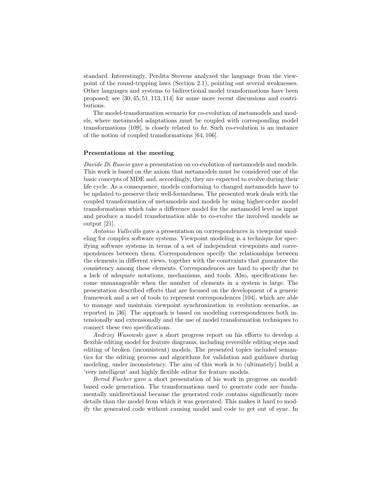standard. Interestingly, Perdita Stevens analyzed the language from the viewpoint of the round-tripping laws (Section 2.1), pointing out several weaknesses. Other languages and systems to bidirectional model transformations have been proposed; see [30, 45, 51, 113, 114] for some more recent discussions and contributions.

The model-transformation scenario for co-evolution of metamodels and models, where metamodel adaptations must be coupled with corresponding model transformations  $[109]$ , is closely related to bx. Such co-evolution is an instance of the notion of coupled transformations [64, 106].

#### Presentations at the meeting

Davide Di Ruscio gave a presentation on co-evolution of metamodels and models. This work is based on the axiom that metamodels must be considered one of the basic concepts of MDE and, accordingly, they are expected to evolve during their life cycle. As a consequence, models conforming to changed metamodels have to be updated to preserve their well-formedness. The presented work deals with the coupled transformation of metamodels and models by using higher-order model transformations which take a difference model for the metamodel level as input and produce a model transformation able to co-evolve the involved models as output [21].

Antonio Vallecillo gave a presentation on correspondences in viewpoint modeling for complex software systems. Viewpoint modeling is a technique for specifying software systems in terms of a set of independent viewpoints and correspondences between them. Correspondences specify the relationships between the elements in different views, together with the constraints that guarantee the consistency among these elements. Correspondences are hard to specify due to a lack of adequate notations, mechanisms, and tools. Also, specifications become unmanageable when the number of elements in a system is large. The presentation described efforts that are focused on the development of a generic framework and a set of tools to represent correspondences [104], which are able to manage and maintain viewpoint synchronization in evolution scenarios, as reported in [36]. The approach is based on modeling correspondences both intensionally and extensionally and the use of model transformation techniques to connect these two specifications.

Andrzej Wasowski gave a short progress report on his efforts to develop a flexible editing model for feature diagrams, including reversible editing steps and editing of broken (inconsistent) models. The presented topics included semantics for the editing process and algorithms for validation and guidance during modeling, under inconsistency. The aim of this work is to (ultimately) build a 'very intelligent' and highly flexible editor for feature models.

Bernd Fischer gave a short presentation of his work in progress on modelbased code generation. The transformations used to generate code are fundamentally unidirectional because the generated code contains significantly more details than the model from which it was generated. This makes it hard to modify the generated code without causing model and code to get out of sync. In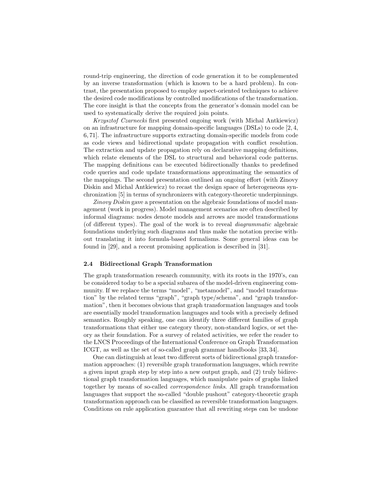round-trip engineering, the direction of code generation it to be complemented by an inverse transformation (which is known to be a hard problem). In contrast, the presentation proposed to employ aspect-oriented techniques to achieve the desired code modifications by controlled modifications of the transformation. The core insight is that the concepts from the generator's domain model can be used to systematically derive the required join points.

Krzysztof Czarnecki first presented ongoing work (with Michal Antkiewicz) on an infrastructure for mapping domain-specific languages (DSLs) to code [2, 4, 6, 71]. The infrastructure supports extracting domain-specific models from code as code views and bidirectional update propagation with conflict resolution. The extraction and update propagation rely on declarative mapping definitions, which relate elements of the DSL to structural and behavioral code patterns. The mapping definitions can be executed bidirectionally thanks to predefined code queries and code update transformations approximating the semantics of the mappings. The second presentation outlined an ongoing effort (with Zinovy Diskin and Michal Antkiewicz) to recast the design space of heterogeneous synchronization [5] in terms of synchronizers with category-theoretic underpinnings.

Zinovy Diskin gave a presentation on the algebraic foundations of model management (work in progress). Model management scenarios are often described by informal diagrams: nodes denote models and arrows are model transformations (of different types). The goal of the work is to reveal diagrammatic algebraic foundations underlying such diagrams and thus make the notation precise without translating it into formula-based formalisms. Some general ideas can be found in [29], and a recent promising application is described in [31].

## 2.4 Bidirectional Graph Transformation

The graph transformation research community, with its roots in the 1970's, can be considered today to be a special subarea of the model-driven engineering community. If we replace the terms "model", "metamodel", and "model transformation" by the related terms "graph", "graph type/schema", and "graph transformation", then it becomes obvious that graph transformation languages and tools are essentially model transformation languages and tools with a precisely defined semantics. Roughly speaking, one can identify three different families of graph transformations that either use category theory, non-standard logics, or set theory as their foundation. For a survey of related activities, we refer the reader to the LNCS Proceedings of the International Conference on Graph Transformation ICGT, as well as the set of so-called graph grammar handbooks [33, 34].

One can distinguish at least two different sorts of bidirectional graph transformation approaches: (1) reversible graph transformation languages, which rewrite a given input graph step by step into a new output graph, and (2) truly bidirectional graph transformation languages, which manipulate pairs of graphs linked together by means of so-called correspondence links. All graph transformation languages that support the so-called "double pushout" category-theoretic graph transformation approach can be classified as reversible transformation languages. Conditions on rule application guarantee that all rewriting steps can be undone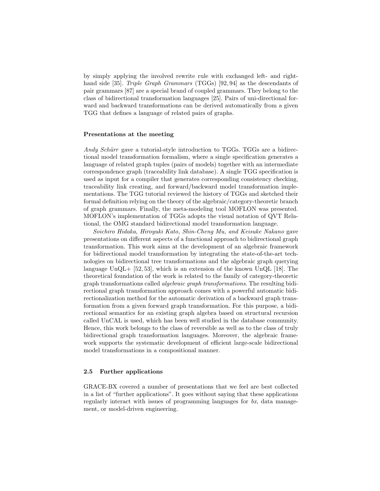by simply applying the involved rewrite rule with exchanged left- and righthand side [35]. Triple Graph Grammars (TGGs) [92, 94] as the descendants of pair grammars [87] are a special brand of coupled grammars. They belong to the class of bidirectional transformation languages [25]. Pairs of uni-directional forward and backward transformations can be derived automatically from a given TGG that defines a language of related pairs of graphs.

### Presentations at the meeting

Andy Schürr gave a tutorial-style introduction to TGGs. TGGs are a bidirectional model transformation formalism, where a single specification generates a language of related graph tuples (pairs of models) together with an intermediate correspondence graph (traceability link database). A single TGG specification is used as input for a compiler that generates corresponding consistency checking, traceability link creating, and forward/backward model transformation implementations. The TGG tutorial reviewed the history of TGGs and sketched their formal definition relying on the theory of the algebraic/category-theoretic branch of graph grammars. Finally, the meta-modeling tool MOFLON was presented. MOFLON's implementation of TGGs adopts the visual notation of QVT Relational, the OMG standard bidirectional model transformation language.

Soichiro Hidaka, Hiroyuki Kato, Shin-Cheng Mu, and Keisuke Nakano gave presentations on different aspects of a functional approach to bidirectional graph transformation. This work aims at the development of an algebraic framework for bidirectional model transformation by integrating the state-of-the-art technologies on bidirectional tree transformations and the algebraic graph querying language  $UnQL+$  [52, 53], which is an extension of the known UnQL [18]. The theoretical foundation of the work is related to the family of category-theoretic graph transformations called algebraic graph transformations. The resulting bidirectional graph transformation approach comes with a powerful automatic bidirectionalization method for the automatic derivation of a backward graph transformation from a given forward graph transformation. For this purpose, a bidirectional semantics for an existing graph algebra based on structural recursion called UnCAL is used, which has been well studied in the database community. Hence, this work belongs to the class of reversible as well as to the class of truly bidirectional graph transformation languages. Moreover, the algebraic framework supports the systematic development of efficient large-scale bidirectional model transformations in a compositional manner.

### 2.5 Further applications

GRACE-BX covered a number of presentations that we feel are best collected in a list of "further applications". It goes without saying that these applications regularly interact with issues of programming languages for  $bx$ , data management, or model-driven engineering.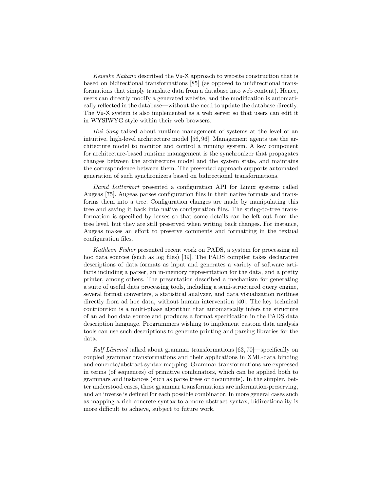Keisuke Nakano described the Vu-X approach to website construction that is based on bidirectional transformations [85] (as opposed to unidirectional transformations that simply translate data from a database into web content). Hence, users can directly modify a generated website, and the modification is automatically reflected in the database—without the need to update the database directly. The Vu-X system is also implemented as a web server so that users can edit it in WYSIWYG style within their web browsers.

Hui Song talked about runtime management of systems at the level of an intuitive, high-level architecture model [56, 96]. Management agents use the architecture model to monitor and control a running system. A key component for architecture-based runtime management is the synchronizer that propagates changes between the architecture model and the system state, and maintains the correspondence between them. The presented approach supports automated generation of such synchronizers based on bidirectional transformations.

David Lutterkort presented a configuration API for Linux systems called Augeas [75]. Augeas parses configuration files in their native formats and transforms them into a tree. Configuration changes are made by manipulating this tree and saving it back into native configuration files. The string-to-tree transformation is specified by lenses so that some details can be left out from the tree level, but they are still preserved when writing back changes. For instance, Augeas makes an effort to preserve comments and formatting in the textual configuration files.

Kathleen Fisher presented recent work on PADS, a system for processing ad hoc data sources (such as log files) [39]. The PADS compiler takes declarative descriptions of data formats as input and generates a variety of software artifacts including a parser, an in-memory representation for the data, and a pretty printer, among others. The presentation described a mechanism for generating a suite of useful data processing tools, including a semi-structured query engine, several format converters, a statistical analyzer, and data visualization routines directly from ad hoc data, without human intervention [40]. The key technical contribution is a multi-phase algorithm that automatically infers the structure of an ad hoc data source and produces a format specification in the PADS data description language. Programmers wishing to implement custom data analysis tools can use such descriptions to generate printing and parsing libraries for the data.

Ralf Lämmel talked about grammar transformations  $[63, 70]$ —specifically on coupled grammar transformations and their applications in XML-data binding and concrete/abstract syntax mapping. Grammar transformations are expressed in terms (of sequences) of primitive combinators, which can be applied both to grammars and instances (such as parse trees or documents). In the simpler, better understood cases, these grammar transformations are information-preserving, and an inverse is defined for each possible combinator. In more general cases such as mapping a rich concrete syntax to a more abstract syntax, bidirectionality is more difficult to achieve, subject to future work.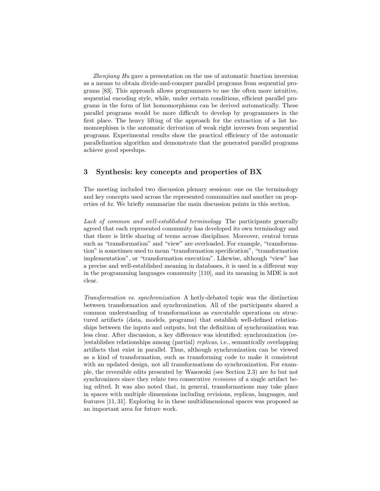Zhenjiang Hu gave a presentation on the use of automatic function inversion as a means to obtain divide-and-conquer parallel programs from sequential programs [83]. This approach allows programmers to use the often more intuitive, sequential encoding style, while, under certain conditions, efficient parallel programs in the form of list homomorphisms can be derived automatically. These parallel programs would be more difficult to develop by programmers in the first place. The heavy lifting of the approach for the extraction of a list homomorphism is the automatic derivation of weak right inverses from sequential programs. Experimental results show the practical efficiency of the automatic parallelization algorithm and demonstrate that the generated parallel programs achieve good speedups.

## 3 Synthesis: key concepts and properties of BX

The meeting included two discussion plenary sessions: one on the terminology and key concepts used across the represented communities and another on properties of bx. We briefly summarize the main discussion points in this section.

Lack of common and well-established terminology The participants generally agreed that each represented community has developed its own terminology and that there is little sharing of terms across disciplines. Moreover, central terms such as "transformation" and "view" are overloaded. For example, "transformation" is sometimes used to mean "transformation specification", "transformation implementation", or "transformation execution". Likewise, although "view" has a precise and well-established meaning in databases, it is used in a different way in the programming languages community [110], and its meaning in MDE is not clear.

Transformation vs. synchronization A hotly-debated topic was the distinction between transformation and synchronization. All of the participants shared a common understanding of transformations as executable operations on structured artifacts (data, models, programs) that establish well-defined relationships between the inputs and outputs, but the definition of synchronization was less clear. After discussion, a key difference was identified: synchronization (re- )establishes relationships among (partial) replicas, i.e., semantically overlapping artifacts that exist in parallel. Thus, although synchronization can be viewed as a kind of transformation, such as transforming code to make it consistent with an updated design, not all transformations do synchronization. For example, the reversible edits presented by Wasowski (see Section 2.3) are bx but not synchronizers since they relate two consecutive revisions of a single artifact being edited. It was also noted that, in general, transformations may take place in spaces with multiple dimensions including revisions, replicas, languages, and features [11, 31]. Exploring  $bx$  in these multidimensional spaces was proposed as an important area for future work.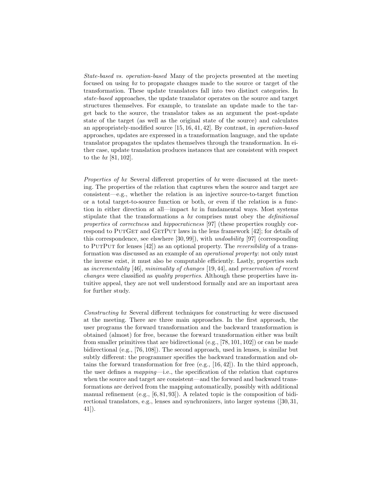State-based vs. operation-based Many of the projects presented at the meeting focused on using bx to propagate changes made to the source or target of the transformation. These update translators fall into two distinct categories. In state-based approaches, the update translator operates on the source and target structures themselves. For example, to translate an update made to the target back to the source, the translator takes as an argument the post-update state of the target (as well as the original state of the source) and calculates an appropriately-modified source [15, 16, 41, 42]. By contrast, in operation-based approaches, updates are expressed in a transformation language, and the update translator propagates the updates themselves through the transformation. In either case, update translation produces instances that are consistent with respect to the bx [81, 102].

Properties of bx Several different properties of bx were discussed at the meeting. The properties of the relation that captures when the source and target are consistent—e.g., whether the relation is an injective source-to-target function or a total target-to-source function or both, or even if the relation is a function in either direction at all—impact bx in fundamental ways. Most systems stipulate that the transformations a  $bx$  comprises must obey the *definitional* properties of correctness and hippocraticness [97] (these properties roughly correspond to  $PUTGET$  and  $GETPUT$  laws in the lens framework  $[42]$ ; for details of this correspondence, see elswhere [30, 99]), with undoability [97] (corresponding to PUTPUT for lenses  $[42]$  as an optional property. The *reversibility* of a transformation was discussed as an example of an operational property: not only must the inverse exist, it must also be computable efficiently. Lastly, properties such as incrementality [46], minimality of changes [19, 44], and preservation of recent changes were classified as quality properties. Although these properties have intuitive appeal, they are not well understood formally and are an important area for further study.

Constructing bx Several different techniques for constructing bx were discussed at the meeting. There are three main approaches. In the first approach, the user programs the forward transformation and the backward transformation is obtained (almost) for free, because the forward transformation either was built from smaller primitives that are bidirectional (e.g., [78, 101, 102]) or can be made bidirectional (e.g., [76, 108]). The second approach, used in lenses, is similar but subtly different: the programmer specifies the backward transformation and obtains the forward transformation for free (e.g., [16, 42]). In the third approach, the user defines a mapping—i.e., the specification of the relation that captures when the source and target are consistent—and the forward and backward transformations are derived from the mapping automatically, possibly with additional manual refinement  $(e.g., [6, 81, 93])$ . A related topic is the composition of bidirectional translators, e.g., lenses and synchronizers, into larger systems ([30, 31, 41]).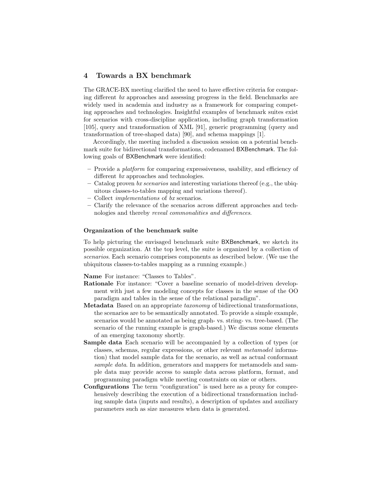## 4 Towards a BX benchmark

The GRACE-BX meeting clarified the need to have effective criteria for comparing different bx approaches and assessing progress in the field. Benchmarks are widely used in academia and industry as a framework for comparing competing approaches and technologies. Insightful examples of benchmark suites exist for scenarios with cross-discipline application, including graph transformation [105], query and transformation of XML [91], generic programming (query and transformation of tree-shaped data) [90], and schema mappings [1].

Accordingly, the meeting included a discussion session on a potential benchmark suite for bidirectional transformations, codenamed BXBenchmark. The following goals of BXBenchmark were identified:

- $-$  Provide a *platform* for comparing expressiveness, usability, and efficiency of different bx approaches and technologies.
- $-$  Catalog proven bx scenarios and interesting variations thereof (e.g., the ubiquitous classes-to-tables mapping and variations thereof).
- Collect implementations of bx scenarios.
- Clarify the relevance of the scenarios across different approaches and technologies and thereby reveal commonalities and differences.

#### Organization of the benchmark suite

To help picturing the envisaged benchmark suite BXBenchmark, we sketch its possible organization. At the top level, the suite is organized by a collection of scenarios. Each scenario comprises components as described below. (We use the ubiquitous classes-to-tables mapping as a running example.)

Name For instance: "Classes to Tables".

- Rationale For instance: "Cover a baseline scenario of model-driven development with just a few modeling concepts for classes in the sense of the OO paradigm and tables in the sense of the relational paradigm".
- Metadata Based on an appropriate taxonomy of bidirectional transformations, the scenarios are to be semantically annotated. To provide a simple example, scenarios would be annotated as being graph- vs. string- vs. tree-based. (The scenario of the running example is graph-based.) We discuss some elements of an emerging taxonomy shortly.
- Sample data Each scenario will be accompanied by a collection of types (or classes, schemas, regular expressions, or other relevant metamodel information) that model sample data for the scenario, as well as actual conformant sample data. In addition, generators and mappers for metamodels and sample data may provide access to sample data across platform, format, and programming paradigm while meeting constraints on size or others.
- Configurations The term "configuration" is used here as a proxy for comprehensively describing the execution of a bidirectional transformation including sample data (inputs and results), a description of updates and auxiliary parameters such as size measures when data is generated.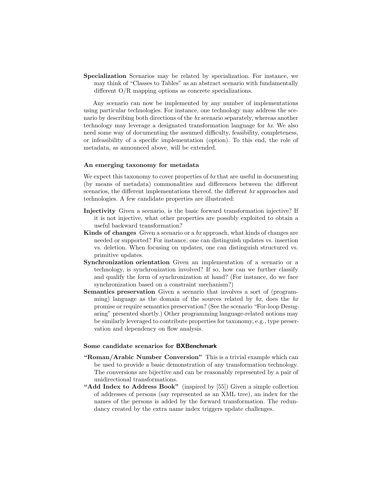Specialization Scenarios may be related by specialization. For instance, we may think of "Classes to Tables" as an abstract scenario with fundamentally different O/R mapping options as concrete specializations.

Any scenario can now be implemented by any number of implementations using particular technologies. For instance, one technology may address the scenario by describing both directions of the bx scenario separately, whereas another technology may leverage a designated transformation language for  $bx$ . We also need some way of documenting the assumed difficulty, feasibility, completeness, or infeasibility of a specific implementation (option). To this end, the role of metadata, as announced above, will be extended.

#### An emerging taxonomy for metadata

We expect this taxonomy to cover properties of  $bx$  that are useful in documenting (by means of metadata) commonalities and differences between the different scenarios, the different implementations thereof, the different  $bx$  approaches and technologies. A few candidate properties are illustrated:

- Injectivity Given a scenario, is the basic forward transformation injective? If it is not injective, what other properties are possibly exploited to obtain a useful backward transformation?
- **Kinds of changes** Given a scenario or a  $bx$  approach, what kinds of changes are needed or supported? For instance, one can distinguish updates vs. insertion vs. deletion. When focusing on updates, one can distinguish structured vs. primitive updates.
- Synchronization orientation Given an implementation of a scenario or a technology, is synchronization involved? If so, how can we further classify and qualify the form of synchronization at hand? (For instance, do we face synchronization based on a constraint mechanism?)
- Semantics preservation Given a scenario that involves a sort of (programming) language as the domain of the sources related by  $bx$ , does the bx promise or require semantics preservation? (See the scenario "For-loop Desugaring" presented shortly.) Other programming language-related notions may be similarly leveraged to contribute properties for taxonomy, e.g., type preservation and dependency on flow analysis.

#### Some candidate scenarios for BXBenchmark

- "Roman/Arabic Number Conversion" This is a trivial example which can be used to provide a basic demonstration of any transformation technology. The conversions are bijective and can be reasonably represented by a pair of unidirectional transformations.
- "Add Index to Address Book" (inspired by [55]) Given a simple collection of addresses of persons (say represented as an XML tree), an index for the names of the persons is added by the forward transformation. The redundancy created by the extra name index triggers update challenges.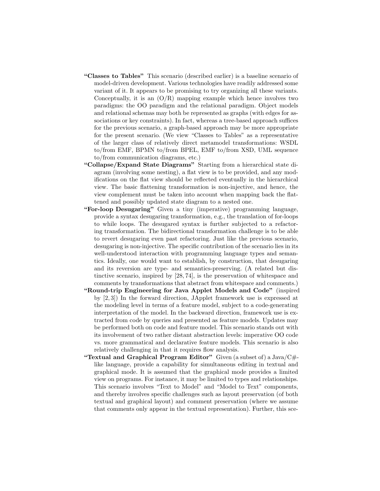- "Classes to Tables" This scenario (described earlier) is a baseline scenario of model-driven development. Various technologies have readily addressed some variant of it. It appears to be promising to try organizing all these variants. Conceptually, it is an  $(O/R)$  mapping example which hence involves two paradigms: the OO paradigm and the relational paradigm. Object models and relational schemas may both be represented as graphs (with edges for associations or key constraints). In fact, whereas a tree-based approach suffices for the previous scenario, a graph-based approach may be more appropriate for the present scenario. (We view "Classes to Tables" as a representative of the larger class of relatively direct metamodel transformations: WSDL to/from EMF, BPMN to/from BPEL, EMF to/from XSD, UML sequence to/from communication diagrams, etc.)
- "Collapse/Expand State Diagrams" Starting from a hierarchical state diagram (involving some nesting), a flat view is to be provided, and any modifications on the flat view should be reflected eventually in the hierarchical view. The basic flattening transformation is non-injective, and hence, the view complement must be taken into account when mapping back the flattened and possibly updated state diagram to a nested one.
- "For-loop Desugaring" Given a tiny (imperative) programming language, provide a syntax desugaring transformation, e.g., the translation of for-loops to while loops. The desugared syntax is further subjected to a refactoring transformation. The bidirectional transformation challenge is to be able to revert desugaring even past refactoring. Just like the previous scenario, desugaring is non-injective. The specific contribution of the scenario lies in its well-understood interaction with programming language types and semantics. Ideally, one would want to establish, by construction, that desugaring and its reversion are type- and semantics-preserving. (A related but distinctive scenario, inspired by [28, 74], is the preservation of whitespace and comments by transformations that abstract from whitespace and comments.)
- "Round-trip Engineering for Java Applet Models and Code" (inspired by [2, 3]) In the forward direction, JApplet framework use is expressed at the modeling level in terms of a feature model, subject to a code-generating interpretation of the model. In the backward direction, framework use is extracted from code by queries and presented as feature models. Updates may be performed both on code and feature model. This scenario stands out with its involvement of two rather distant abstraction levels: imperative OO code vs. more grammatical and declarative feature models. This scenario is also relatively challenging in that it requires flow analysis.
- "Textual and Graphical Program Editor" Given (a subset of) a Java/ $C#$ like language, provide a capability for simultaneous editing in textual and graphical mode. It is assumed that the graphical mode provides a limited view on programs. For instance, it may be limited to types and relationships. This scenario involves "Text to Model" and "Model to Text" components, and thereby involves specific challenges such as layout preservation (of both textual and graphical layout) and comment preservation (where we assume that comments only appear in the textual representation). Further, this sce-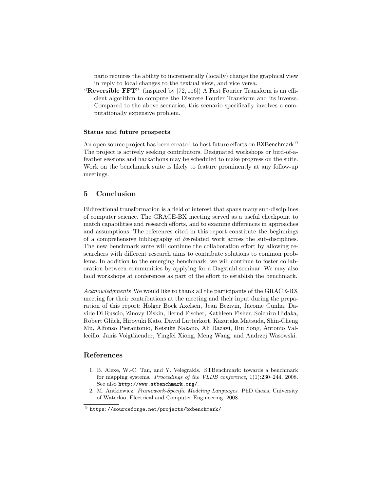nario requires the ability to incrementally (locally) change the graphical view in reply to local changes to the textual view, and vice versa.

"Reversible FFT" (inspired by  $[72, 116]$ ) A Fast Fourier Transform is an efficient algorithm to compute the Discrete Fourier Transform and its inverse. Compared to the above scenarios, this scenario specifically involves a computationally expensive problem.

#### Status and future prospects

An open source project has been created to host future efforts on BXBenchmark.<sup>9</sup> The project is actively seeking contributors. Designated workshops or bird-of-afeather sessions and hackathons may be scheduled to make progress on the suite. Work on the benchmark suite is likely to feature prominently at any follow-up meetings.

## 5 Conclusion

Bidirectional transformation is a field of interest that spans many sub-disciplines of computer science. The GRACE-BX meeting served as a useful checkpoint to match capabilities and research efforts, and to examine differences in approaches and assumptions. The references cited in this report constitute the beginnings of a comprehensive bibliography of bx-related work across the sub-disciplines. The new benchmark suite will continue the collaboration effort by allowing researchers with different research aims to contribute solutions to common problems. In addition to the emerging benchmark, we will continue to foster collaboration between communities by applying for a Dagstuhl seminar. We may also hold workshops at conferences as part of the effort to establish the benchmark.

Acknowledgments We would like to thank all the participants of the GRACE-BX meeting for their contributions at the meeting and their input during the preparation of this report: Holger Bock Axelsen, Jean Bezivin, Jácome Cunha, Davide Di Ruscio, Zinovy Diskin, Bernd Fischer, Kathleen Fisher, Soichiro Hidaka, Robert Glück, Hiroyuki Kato, David Lutterkort, Kazutaka Matsuda, Shin-Cheng Mu, Alfonso Pierantonio, Keisuke Nakano, Ali Razavi, Hui Song, Antonio Vallecillo, Janis Voigtläender, Yingfei Xiong, Meng Wang, and Andrzej Wasowski.

## References

- 1. B. Alexe, W.-C. Tan, and Y. Velegrakis. STBenchmark: towards a benchmark for mapping systems. Proceedings of the VLDB conference, 1(1):230–244, 2008. See also http://www.stbenchmark.org/.
- 2. M. Antkiewicz. Framework-Specific Modeling Languages. PhD thesis, University of Waterloo, Electrical and Computer Engineering, 2008.

 $^9$  https://sourceforge.net/projects/bxbenchmark/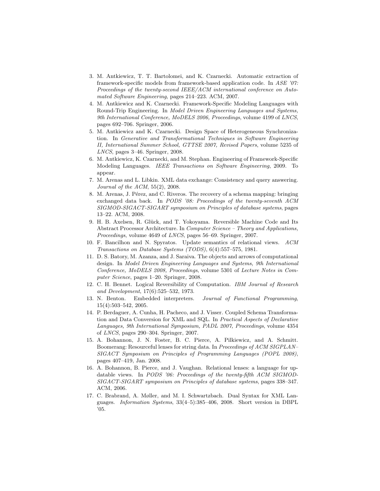- 3. M. Antkiewicz, T. T. Bartolomei, and K. Czarnecki. Automatic extraction of framework-specific models from framework-based application code. In ASE '07: Proceedings of the twenty-second IEEE/ACM international conference on Automated Software Engineering, pages 214–223. ACM, 2007.
- 4. M. Antkiewicz and K. Czarnecki. Framework-Specific Modeling Languages with Round-Trip Engineering. In Model Driven Engineering Languages and Systems, 9th International Conference, MoDELS 2006, Proceedings, volume 4199 of LNCS, pages 692–706. Springer, 2006.
- 5. M. Antkiewicz and K. Czarnecki. Design Space of Heterogeneous Synchronization. In Generative and Transformational Techniques in Software Engineering II, International Summer School, GTTSE 2007, Revised Papers, volume 5235 of LNCS, pages 3–46. Springer, 2008.
- 6. M. Antkiewicz, K. Czarnecki, and M. Stephan. Engineering of Framework-Specific Modeling Languages. IEEE Transactions on Software Engineering, 2009. To appear.
- 7. M. Arenas and L. Libkin. XML data exchange: Consistency and query answering. Journal of the ACM, 55(2), 2008.
- 8. M. Arenas, J. Pérez, and C. Riveros. The recovery of a schema mapping: bringing exchanged data back. In PODS '08: Proceedings of the twenty-seventh ACM SIGMOD-SIGACT-SIGART symposium on Principles of database systems, pages 13–22. ACM, 2008.
- 9. H. B. Axelsen, R. Glück, and T. Yokoyama. Reversible Machine Code and Its Abstract Processor Architecture. In Computer Science – Theory and Applications, Proceedings, volume 4649 of LNCS, pages 56–69. Springer, 2007.
- 10. F. Bancilhon and N. Spyratos. Update semantics of relational views. ACM Transactions on Database Systems (TODS), 6(4):557–575, 1981.
- 11. D. S. Batory, M. Azanza, and J. Saraiva. The objects and arrows of computational design. In Model Driven Engineering Languages and Systems, 9th International Conference, MoDELS 2008, Proceedings, volume 5301 of Lecture Notes in Computer Science, pages 1–20. Springer, 2008.
- 12. C. H. Bennet. Logical Reversibility of Computation. IBM Journal of Research and Development, 17(6):525–532, 1973.
- 13. N. Benton. Embedded interpreters. Journal of Functional Programming, 15(4):503–542, 2005.
- 14. P. Berdaguer, A. Cunha, H. Pacheco, and J. Visser. Coupled Schema Transformation and Data Conversion for XML and SQL. In Practical Aspects of Declarative Languages, 9th International Symposium, PADL 2007, Proceedings, volume 4354 of LNCS, pages 290–304. Springer, 2007.
- 15. A. Bohannon, J. N. Foster, B. C. Pierce, A. Pilkiewicz, and A. Schmitt. Boomerang: Resourceful lenses for string data. In Proceedings of ACM SIGPLAN– SIGACT Symposium on Principles of Programming Languages (POPL 2008), pages 407–419, Jan. 2008.
- 16. A. Bohannon, B. Pierce, and J. Vaughan. Relational lenses: a language for updatable views. In PODS '06: Proceedings of the twenty-fifth ACM SIGMOD-SIGACT-SIGART symposium on Principles of database systems, pages 338–347. ACM, 2006.
- 17. C. Brabrand, A. Møller, and M. I. Schwartzbach. Dual Syntax for XML Languages. Information Systems, 33(4–5):385–406, 2008. Short version in DBPL '05.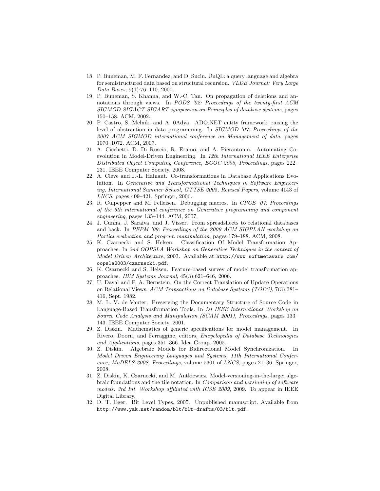- 18. P. Buneman, M. F. Fernandez, and D. Suciu. UnQL: a query language and algebra for semistructured data based on structural recursion. VLDB Journal: Very Large Data Bases, 9(1):76–110, 2000.
- 19. P. Buneman, S. Khanna, and W.-C. Tan. On propagation of deletions and annotations through views. In PODS '02: Proceedings of the twenty-first ACM SIGMOD-SIGACT-SIGART symposium on Principles of database systems, pages 150–158. ACM, 2002.
- 20. P. Castro, S. Melnik, and A. 0Adya. ADO.NET entity framework: raising the level of abstraction in data programming. In SIGMOD '07: Proceedings of the 2007 ACM SIGMOD international conference on Management of data, pages 1070–1072. ACM, 2007.
- 21. A. Cicchetti, D. Di Ruscio, R. Eramo, and A. Pierantonio. Automating Coevolution in Model-Driven Engineering. In 12th International IEEE Enterprise Distributed Object Computing Conference, ECOC 2008, Proceedings, pages 222– 231. IEEE Computer Society, 2008.
- 22. A. Cleve and J.-L. Hainaut. Co-transformations in Database Applications Evolution. In Generative and Transformational Techniques in Software Engineering, International Summer School, GTTSE 2005, Revised Papers, volume 4143 of LNCS, pages 409–421. Springer, 2006.
- 23. R. Culpepper and M. Felleisen. Debugging macros. In GPCE '07: Proceedings of the 6th international conference on Generative programming and component engineering, pages 135–144. ACM, 2007.
- 24. J. Cunha, J. Saraiva, and J. Visser. From spreadsheets to relational databases and back. In PEPM '09: Proceedings of the 2009 ACM SIGPLAN workshop on Partial evaluation and program manipulation, pages 179–188. ACM, 2008.
- 25. K. Czarnecki and S. Helsen. Classification Of Model Transformation Approaches. In 2nd OOPSLA Workshop on Generative Techniques in the context of Model Driven Architecture, 2003. Available at http://www.softmetaware.com/ oopsla2003/czarnecki.pdf.
- 26. K. Czarnecki and S. Helsen. Feature-based survey of model transformation approaches. IBM Systems Journal, 45(3):621–646, 2006.
- 27. U. Dayal and P. A. Bernstein. On the Correct Translation of Update Operations on Relational Views. ACM Transactions on Database Systems (TODS), 7(3):381– 416, Sept. 1982.
- 28. M. L. V. de Vanter. Preserving the Documentary Structure of Source Code in Language-Based Transformation Tools. In 1st IEEE International Workshop on Source Code Analysis and Manipulation (SCAM 2001), Proceedings, pages 133– 143. IEEE Computer Society, 2001.
- 29. Z. Diskin. Mathematics of generic specifications for model management. In Rivero, Doorn, and Ferraggine, editors, Encyclopedia of Database Technologies and Applications, pages 351–366. Idea Group, 2005.
- 30. Z. Diskin. Algebraic Models for Bidirectional Model Synchronization. In Model Driven Engineering Languages and Systems, 11th International Conference, MoDELS 2008, Proceedings, volume 5301 of LNCS, pages 21–36. Springer, 2008.
- 31. Z. Diskin, K. Czarnecki, and M. Antkiewicz. Model-versioning-in-the-large: algebraic foundations and the tile notation. In Comparison and versioning of software models. 3rd Int. Workshop affiliated with ICSE 2009, 2009. To appear in IEEE Digital Library.
- 32. D. T. Eger. Bit Level Types, 2005. Unpublished manuscript. Available from http://www.yak.net/random/blt/blt-drafts/03/blt.pdf.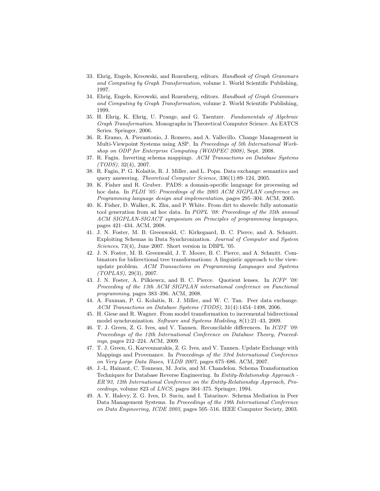- 33. Ehrig, Engels, Kreowski, and Rozenberg, editors. Handbook of Graph Grammars and Computing by Graph Transformation, volume 1. World Scientific Publishing, 1997.
- 34. Ehrig, Engels, Kreowski, and Rozenberg, editors. Handbook of Graph Grammars and Computing by Graph Transformation, volume 2. World Scientific Publishing, 1999.
- 35. H. Ehrig, K. Ehrig, U. Prange, and G. Taentzer. Fundamentals of Algebraic Graph Transformation. Monographs in Theoretical Computer Science. An EATCS Series. Springer, 2006.
- 36. R. Eramo, A. Pierantonio, J. Romero, and A. Vallecillo. Change Management in Multi-Viewpoint Systems using ASP. In Proceedings of 5th International Workshop on ODP for Enterprise Computing (WODPEC 2008), Sept. 2008.
- 37. R. Fagin. Inverting schema mappings. ACM Transactions on Database Systems  $(TODS), 32(4), 2007.$
- 38. R. Fagin, P. G. Kolaitis, R. J. Miller, and L. Popa. Data exchange: semantics and query answering. Theoretical Computer Science, 336(1):89–124, 2005.
- 39. K. Fisher and R. Gruber. PADS: a domain-specific language for processing ad hoc data. In PLDI '05: Proceedings of the 2005 ACM SIGPLAN conference on Programming language design and implementation, pages 295–304. ACM, 2005.
- 40. K. Fisher, D. Walker, K. Zhu, and P. White. From dirt to shovels: fully automatic tool generation from ad hoc data. In POPL '08: Proceedings of the 35th annual ACM SIGPLAN-SIGACT symposium on Principles of programming languages, pages 421–434. ACM, 2008.
- 41. J. N. Foster, M. B. Greenwald, C. Kirkegaard, B. C. Pierce, and A. Schmitt. Exploiting Schemas in Data Synchronization. Journal of Computer and System Sciences, 73(4), June 2007. Short version in DBPL '05.
- 42. J. N. Foster, M. B. Greenwald, J. T. Moore, B. C. Pierce, and A. Schmitt. Combinators for bidirectional tree transformations: A linguistic approach to the viewupdate problem. ACM Transactions on Programming Languages and Systems  $(TOPLAS)$ , 29(3), 2007.
- 43. J. N. Foster, A. Pilkiewcz, and B. C. Pierce. Quotient lenses. In ICFP '08: Proceeding of the 13th ACM SIGPLAN international conference on Functional programming, pages 383–396. ACM, 2008.
- 44. A. Fuxman, P. G. Kolaitis, R. J. Miller, and W. C. Tan. Peer data exchange. ACM Transactions on Database Systems (TODS), 31(4):1454–1498, 2006.
- 45. H. Giese and R. Wagner. From model transformation to incremental bidirectional model synchronization. Software and Systems Modeling, 8(1):21–43, 2009.
- 46. T. J. Green, Z. G. Ives, and V. Tannen. Reconcilable differences. In ICDT '09: Proceedings of the 12th International Conference on Database Theory, Proceedings, pages 212–224. ACM, 2009.
- 47. T. J. Green, G. Karvounarakis, Z. G. Ives, and V. Tannen. Update Exchange with Mappings and Provenance. In Proceedings of the 33rd International Conference on Very Large Data Bases, VLDB 2007, pages 675–686. ACM, 2007.
- 48. J.-L. Hainaut, C. Tonneau, M. Joris, and M. Chandelon. Schema Transformation Techniques for Database Reverse Engineering. In Entity-Relationship Approach - ER'93, 12th International Conference on the Entity-Relationship Approach, Proceedings, volume 823 of LNCS, pages 364–375. Springer, 1994.
- 49. A. Y. Halevy, Z. G. Ives, D. Suciu, and I. Tatarinov. Schema Mediation in Peer Data Management Systems. In Proceedings of the 19th International Conference on Data Engineering, ICDE 2003, pages 505–516. IEEE Computer Society, 2003.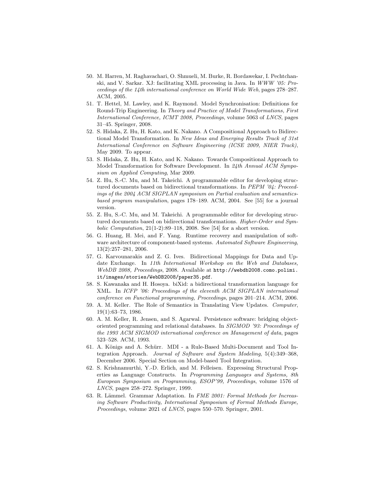- 50. M. Harren, M. Raghavachari, O. Shmueli, M. Burke, R. Bordawekar, I. Pechtchanski, and V. Sarkar. XJ: facilitating XML processing in Java. In WWW '05: Proceedings of the 14th international conference on World Wide Web, pages 278–287. ACM, 2005.
- 51. T. Hettel, M. Lawley, and K. Raymond. Model Synchronisation: Definitions for Round-Trip Engineering. In Theory and Practice of Model Transformations, First International Conference, ICMT 2008, Proceedings, volume 5063 of LNCS, pages 31–45. Springer, 2008.
- 52. S. Hidaka, Z. Hu, H. Kato, and K. Nakano. A Compositional Approach to Bidirectional Model Transformation. In New Ideas and Emerging Results Track of 31st International Conference on Software Engineering (ICSE 2009, NIER Track), May 2009. To appear.
- 53. S. Hidaka, Z. Hu, H. Kato, and K. Nakano. Towards Compositional Approach to Model Transformation for Software Development. In 24th Annual ACM Symposium on Applied Computing, Mar 2009.
- 54. Z. Hu, S.-C. Mu, and M. Takeichi. A programmable editor for developing structured documents based on bidirectional transformations. In  $PEPM$  '04: Proceedings of the 2004 ACM SIGPLAN symposium on Partial evaluation and semanticsbased program manipulation, pages 178–189. ACM, 2004. See [55] for a journal version.
- 55. Z. Hu, S.-C. Mu, and M. Takeichi. A programmable editor for developing structured documents based on bidirectional transformations. Higher-Order and Symbolic Computation,  $21(1-2):89-118$ ,  $2008$ . See [54] for a short version.
- 56. G. Huang, H. Mei, and F. Yang. Runtime recovery and manipulation of software architecture of component-based systems. Automated Software Engineering, 13(2):257–281, 2006.
- 57. G. Karvounarakis and Z. G. Ives. Bidirectional Mappings for Data and Update Exchange. In 11th International Workshop on the Web and Databases, WebDB 2008, Proceedings, 2008. Available at http://webdb2008.como.polimi. it/images/stories/WebDB2008/paper35.pdf.
- 58. S. Kawanaka and H. Hosoya. biXid: a bidirectional transformation language for XML. In ICFP '06: Proceedings of the eleventh ACM SIGPLAN international conference on Functional programming, Proceedings, pages 201–214. ACM, 2006.
- 59. A. M. Keller. The Role of Semantics in Translating View Updates. Computer, 19(1):63–73, 1986.
- 60. A. M. Keller, R. Jensen, and S. Agarwal. Persistence software: bridging objectoriented programming and relational databases. In SIGMOD '93: Proceedings of the 1993 ACM SIGMOD international conference on Management of data, pages 523–528. ACM, 1993.
- 61. A. Königs and A. Schürr. MDI a Rule-Based Multi-Document and Tool Integration Approach. Journal of Software and System Modeling, 5(4):349–368, December 2006. Special Section on Model-based Tool Integration.
- 62. S. Krishnamurthi, Y.-D. Erlich, and M. Felleisen. Expressing Structural Properties as Language Constructs. In Programming Languages and Systems, 8th European Symposium on Programming, ESOP'99, Proceedings, volume 1576 of LNCS, pages 258–272. Springer, 1999.
- 63. R. Lämmel. Grammar Adaptation. In FME 2001: Formal Methods for Increasing Software Productivity, International Symposium of Formal Methods Europe, Proceedings, volume 2021 of LNCS, pages 550–570. Springer, 2001.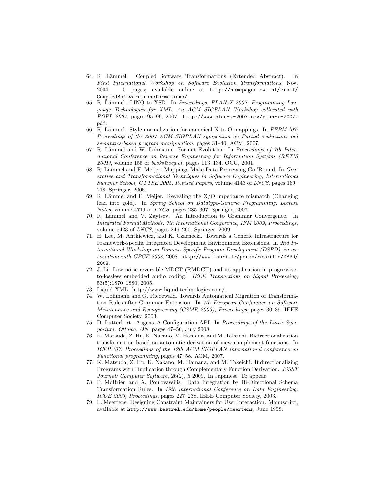- 64. R. Lämmel. Coupled Software Transformations (Extended Abstract). In First International Workshop on Software Evolution Transformations, Nov. 2004. 5 pages; available online at http://homepages.cwi.nl/<sup>∼</sup>ralf/ CoupledSoftwareTransformations/.
- 65. R. Lämmel. LINQ to XSD. In Proceedings, PLAN-X 2007, Programming Language Technologies for XML, An ACM SIGPLAN Workshop collocated with POPL 2007, pages 95-96, 2007. http://www.plan-x-2007.org/plan-x-2007. pdf.
- 66. R. Lämmel. Style normalization for canonical X-to-O mappings. In PEPM '07: Proceedings of the 2007 ACM SIGPLAN symposium on Partial evaluation and semantics-based program manipulation, pages 31–40. ACM, 2007.
- 67. R. Lämmel and W. Lohmann. Format Evolution. In Proceedings of 7th International Conference on Reverse Engineering for Information Systems (RETIS  $2001$ , volume 155 of *books@ocq.at*, pages 113–134. OCG, 2001.
- 68. R. Lämmel and E. Meijer. Mappings Make Data Processing Go 'Round. In Generative and Transformational Techniques in Software Engineering, International Summer School, GTTSE 2005, Revised Papers, volume 4143 of LNCS, pages 169– 218. Springer, 2006.
- 69. R. Lämmel and E. Meijer. Revealing the  $X/O$  impedance mismatch (Changing lead into gold). In Spring School on Datatype-Generic Programming, Lecture Notes, volume 4719 of LNCS, pages 285–367. Springer, 2007.
- 70. R. Lämmel and V. Zaytsev. An Introduction to Grammar Convergence. In Integrated Formal Methods, 7th International Conference, IFM 2009, Proceedings, volume 5423 of LNCS, pages 246–260. Springer, 2009.
- 71. H. Lee, M. Antkiewicz, and K. Czarnecki. Towards a Generic Infrastructure for Framework-specific Integrated Development Environment Extensions. In 2nd International Workshop on Domain-Specific Program Development (DSPD), in association with GPCE 2008, 2008. http://www.labri.fr/perso/reveille/DSPD/ 2008.
- 72. J. Li. Low noise reversible MDCT (RMDCT) and its application in progressiveto-lossless embedded audio coding. IEEE Transactions on Signal Processing, 53(5):1870–1880, 2005.
- 73. Liquid XML. http://www.liquid-technologies.com/.
- 74. W. Lohmann and G. Riedewald. Towards Automatical Migration of Transformation Rules after Grammar Extension. In 7th European Conference on Software Maintenance and Reengineering (CSMR 2003), Proceedings, pages 30–39. IEEE Computer Society, 2003.
- 75. D. Lutterkort. Augeas–A Configuration API. In Proceedings of the Linux Symposium, Ottawa, ON, pages 47–56, July 2008.
- 76. K. Matsuda, Z. Hu, K. Nakano, M. Hamana, and M. Takeichi. Bidirectionalization transformation based on automatic derivation of view complement functions. In ICFP '07: Proceedings of the 12th ACM SIGPLAN international conference on Functional programming, pages 47–58. ACM, 2007.
- 77. K. Matsuda, Z. Hu, K. Nakano, M. Hamana, and M. Takeichi. Bidirectionalizing Programs with Duplication through Complementary Function Derivation. JSSST Journal: Computer Software, 26(2), 5 2009. In Japanese. To appear.
- 78. P. McBrien and A. Poulovassilis. Data Integration by Bi-Directional Schema Transformation Rules. In 19th International Conference on Data Engineering, ICDE 2003, Proceedings, pages 227–238. IEEE Computer Society, 2003.
- 79. L. Meertens. Designing Constraint Maintainers for User Interaction. Manuscript, available at http://www.kestrel.edu/home/people/meertens, June 1998.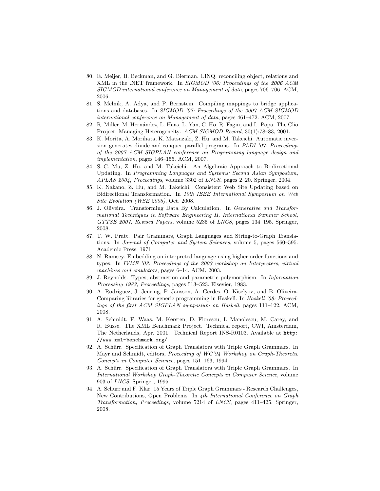- 80. E. Meijer, B. Beckman, and G. Bierman. LINQ: reconciling object, relations and XML in the .NET framework. In SIGMOD '06: Proceedings of the 2006 ACM SIGMOD international conference on Management of data, pages 706–706. ACM, 2006.
- 81. S. Melnik, A. Adya, and P. Bernstein. Compiling mappings to bridge applications and databases. In SIGMOD '07: Proceedings of the 2007 ACM SIGMOD international conference on Management of data, pages 461–472. ACM, 2007.
- 82. R. Miller, M. Hern´andez, L. Haas, L. Yan, C. Ho, R. Fagin, and L. Popa. The Clio Project: Managing Heterogeneity. ACM SIGMOD Record, 30(1):78–83, 2001.
- 83. K. Morita, A. Morihata, K. Matsuzaki, Z. Hu, and M. Takeichi. Automatic inversion generates divide-and-conquer parallel programs. In PLDI '07: Proceedings of the 2007 ACM SIGPLAN conference on Programming language design and implementation, pages 146–155. ACM, 2007.
- 84. S.-C. Mu, Z. Hu, and M. Takeichi. An Algebraic Approach to Bi-directional Updating. In Programming Languages and Systems: Second Asian Symposium, APLAS 2004, Proceedings, volume 3302 of LNCS, pages 2–20. Springer, 2004.
- 85. K. Nakano, Z. Hu, and M. Takeichi. Consistent Web Site Updating based on Bidirectional Transformation. In 10th IEEE International Symposium on Web Site Evolution (WSE 2008), Oct. 2008.
- 86. J. Oliveira. Transforming Data By Calculation. In Generative and Transformational Techniques in Software Engineering II, International Summer School, GTTSE 2007, Revised Papers, volume 5235 of LNCS, pages 134–195. Springer, 2008.
- 87. T. W. Pratt. Pair Grammars, Graph Languages and String-to-Graph Translations. In Journal of Computer and System Sciences, volume 5, pages 560–595. Academic Press, 1971.
- 88. N. Ramsey. Embedding an interpreted language using higher-order functions and types. In IVME '03: Proceedings of the 2003 workshop on Interpreters, virtual machines and emulators, pages 6–14. ACM, 2003.
- 89. J. Reynolds. Types, abstraction and parametric polymorphism. In Information Processing 1983, Proceedings, pages 513–523. Elsevier, 1983.
- 90. A. Rodriguez, J. Jeuring, P. Jansson, A. Gerdes, O. Kiselyov, and B. Oliveira. Comparing libraries for generic programming in Haskell. In Haskell '08: Proceedings of the first ACM SIGPLAN symposium on Haskell, pages 111–122. ACM, 2008.
- 91. A. Schmidt, F. Waas, M. Kersten, D. Florescu, I. Manolescu, M. Carey, and R. Busse. The XML Benchmark Project. Technical report, CWI, Amsterdam, The Netherlands, Apr. 2001. Technical Report INS-R0103. Available at http: //www.xml-benchmark.org/.
- 92. A. Schürr. Specification of Graph Translators with Triple Graph Grammars. In Mayr and Schmidt, editors, Proceeding of WG'94 Workshop on Graph-Theoretic Concepts in Computer Science, pages 151–163, 1994.
- 93. A. Schürr. Specification of Graph Translators with Triple Graph Grammars. In International Workshop Graph-Theoretic Concepts in Computer Science, volume 903 of LNCS. Springer, 1995.
- 94. A. Schürr and F. Klar. 15 Years of Triple Graph Grammars Research Challenges, New Contributions, Open Problems. In 4th International Conference on Graph Transformation, Proceedings, volume 5214 of LNCS, pages 411–425. Springer, 2008.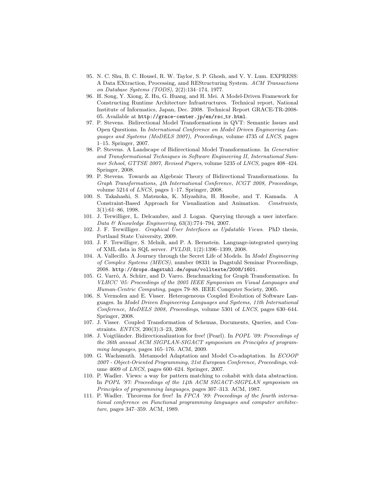- 95. N. C. Shu, B. C. Housel, R. W. Taylor, S. P. Ghosh, and V. Y. Lum. EXPRESS: A Data EXtraction, Processing, amd REStructuring System. ACM Transactions on Database Systems (TODS), 2(2):134–174, 1977.
- 96. H. Song, Y. Xiong, Z. Hu, G. Huang, and H. Mei. A Model-Driven Framework for Constructing Runtime Architecture Infrastructures. Technical report, National Institute of Informatics, Japan, Dec. 2008. Technical Report GRACE-TR-2008- 05. Available at http://grace-center.jp/en/rsc\_tr.html.
- 97. P. Stevens. Bidirectional Model Transformations in QVT: Semantic Issues and Open Questions. In International Conference on Model Driven Engineering Languages and Systems (MoDELS 2007), Proceedings, volume 4735 of LNCS, pages 1–15. Springer, 2007.
- 98. P. Stevens. A Landscape of Bidirectional Model Transformations. In Generative and Transformational Techniques in Software Engineering II, International Summer School, GTTSE 2007, Revised Papers, volume 5235 of LNCS, pages 408–424. Springer, 2008.
- 99. P. Stevens. Towards an Algebraic Theory of Bidirectional Transformations. In Graph Transformations, 4th International Conference, ICGT 2008, Proceedings, volume  $5214$  of *LNCS*, pages  $1-17$ . Springer, 2008.
- 100. S. Takahashi, S. Matsuoka, K. Miyashita, H. Hosobe, and T. Kamada. A Constraint-Based Approach for Visualization and Animation. Constraints, 3(1):61–86, 1998.
- 101. J. Terwilliger, L. Delcambre, and J. Logan. Querying through a user interface. Data & Knowledge Engineering, 63(3):774–794, 2007.
- 102. J. F. Terwilliger. Graphical User Interfaces as Updatable Views. PhD thesis, Portland State University, 2009.
- 103. J. F. Terwilliger, S. Melnik, and P. A. Bernstein. Language-integrated querying of XML data in SQL server. PVLDB, 1(2):1396–1399, 2008.
- 104. A. Vallecillo. A Journey through the Secret Life of Models. In Model Engineering of Complex Systems (MECS), number 08331 in Dagstuhl Seminar Proceedings, 2008. http://drops.dagstuhl.de/opus/volltexte/2008/1601.
- 105. G. Varró, A. Schürr, and D. Varro. Benchmarking for Graph Transformation. In VLHCC '05: Proceedings of the 2005 IEEE Symposium on Visual Languages and Human-Centric Computing, pages 79–88. IEEE Computer Society, 2005.
- 106. S. Vermolen and E. Visser. Heterogeneous Coupled Evolution of Software Languages. In Model Driven Engineering Languages and Systems, 11th International Conference, MoDELS 2008, Proceedings, volume 5301 of LNCS, pages 630–644. Springer, 2008.
- 107. J. Visser. Coupled Transformation of Schemas, Documents, Queries, and Constraints. ENTCS, 200(3):3–23, 2008.
- 108. J. Voigtländer. Bidirectionalization for free! (Pearl). In POPL '09: Proceedings of the 36th annual ACM SIGPLAN-SIGACT symposium on Principles of programming languages, pages 165–176. ACM, 2009.
- 109. G. Wachsmuth. Metamodel Adaptation and Model Co-adaptation. In ECOOP 2007 - Object-Oriented Programming, 21st European Conference, Proceedings, volume 4609 of LNCS, pages 600–624. Springer, 2007.
- 110. P. Wadler. Views: a way for pattern matching to cohabit with data abstraction. In POPL '87: Proceedings of the 14th ACM SIGACT-SIGPLAN symposium on Principles of programming languages, pages 307–313. ACM, 1987.
- 111. P. Wadler. Theorems for free! In FPCA '89: Proceedings of the fourth international conference on Functional programming languages and computer architecture, pages 347–359. ACM, 1989.